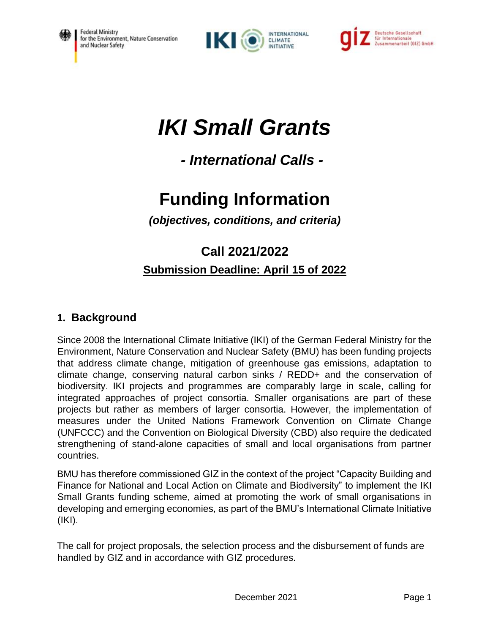





# *IKI Small Grants*

*- International Calls -*

## **Funding Information**

*(objectives, conditions, and criteria)*

### **Call 2021/2022 Submission Deadline: April 15 of 2022**

#### **1. Background**

Since 2008 the International Climate Initiative (IKI) of the German Federal Ministry for the Environment, Nature Conservation and Nuclear Safety (BMU) has been funding projects that address climate change, mitigation of greenhouse gas emissions, adaptation to climate change, conserving natural carbon sinks / REDD+ and the conservation of biodiversity. IKI projects and programmes are comparably large in scale, calling for integrated approaches of project consortia. Smaller organisations are part of these projects but rather as members of larger consortia. However, the implementation of measures under the United Nations Framework Convention on Climate Change (UNFCCC) and the Convention on Biological Diversity (CBD) also require the dedicated strengthening of stand-alone capacities of small and local organisations from partner countries.

BMU has therefore commissioned GIZ in the context of the project "Capacity Building and Finance for National and Local Action on Climate and Biodiversity" to implement the IKI Small Grants funding scheme, aimed at promoting the work of small organisations in developing and emerging economies, as part of the BMU's International Climate Initiative (IKI).

The call for project proposals, the selection process and the disbursement of funds are handled by GIZ and in accordance with GIZ procedures.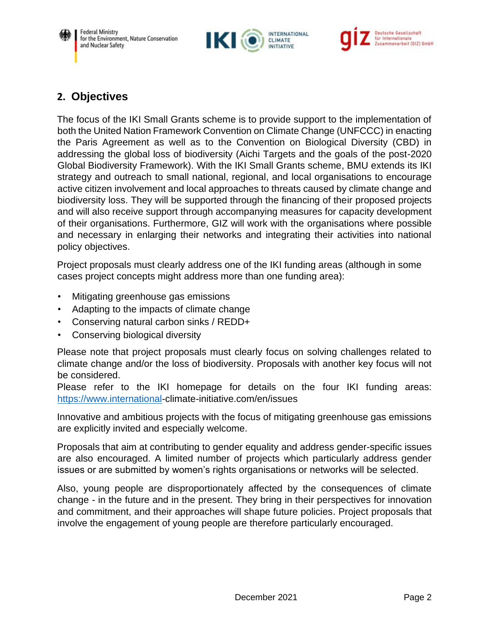





#### **2. Objectives**

The focus of the IKI Small Grants scheme is to provide support to the implementation of both the United Nation Framework Convention on Climate Change (UNFCCC) in enacting the Paris Agreement as well as to the Convention on Biological Diversity (CBD) in addressing the global loss of biodiversity (Aichi Targets and the goals of the post-2020 Global Biodiversity Framework). With the IKI Small Grants scheme, BMU extends its IKI strategy and outreach to small national, regional, and local organisations to encourage active citizen involvement and local approaches to threats caused by climate change and biodiversity loss. They will be supported through the financing of their proposed projects and will also receive support through accompanying measures for capacity development of their organisations. Furthermore, GIZ will work with the organisations where possible and necessary in enlarging their networks and integrating their activities into national policy objectives.

Project proposals must clearly address one of the IKI funding areas (although in some cases project concepts might address more than one funding area):

- Mitigating greenhouse gas emissions
- Adapting to the impacts of climate change
- Conserving natural carbon sinks / REDD+
- Conserving biological diversity

Please note that project proposals must clearly focus on solving challenges related to climate change and/or the loss of biodiversity. Proposals with another key focus will not be considered.

Please refer to the IKI homepage for details on the four IKI funding areas: [https://www.international](https://www.international/)[-climate-initiative.com/en/issues](https://www.international-climate-initiative.com/en/issues/)

Innovative and ambitious projects with the focus of mitigating greenhouse gas emissions are explicitly invited and especially welcome.

Proposals that aim at contributing to gender equality and address gender-specific issues are also encouraged. A limited number of projects which particularly address gender issues or are submitted by women's rights organisations or networks will be selected.

Also, young people are disproportionately affected by the consequences of climate change - in the future and in the present. They bring in their perspectives for innovation and commitment, and their approaches will shape future policies. Project proposals that involve the engagement of young people are therefore particularly encouraged.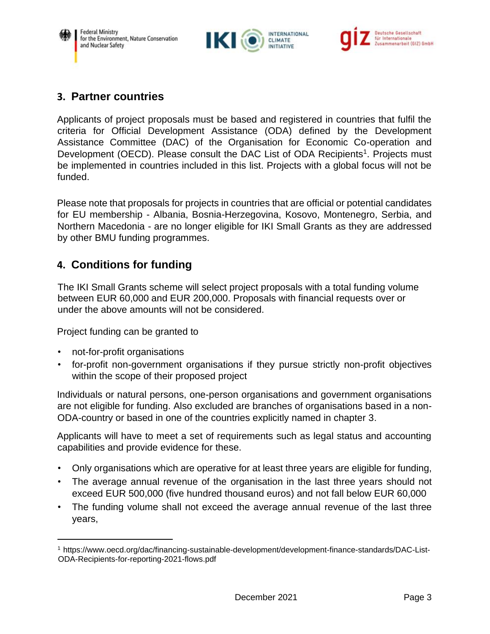





#### **3. Partner countries**

Applicants of project proposals must be based and registered in countries that fulfil the criteria for Official Development Assistance (ODA) defined by the Development Assistance Committee (DAC) of the Organisation for Economic Co-operation and Development (OECD). Please consult the DAC List of ODA Recipients<sup>1</sup>. Projects must be implemented in countries included in this list. Projects with a global focus will not be funded.

Please note that proposals for projects in countries that are official or potential candidates for EU membership - Albania, Bosnia-Herzegovina, Kosovo, Montenegro, Serbia, and Northern Macedonia - are no longer eligible for IKI Small Grants as they are addressed by other BMU funding programmes.

#### **4. Conditions for funding**

The IKI Small Grants scheme will select project proposals with a total funding volume between EUR 60,000 and EUR 200,000. Proposals with financial requests over or under the above amounts will not be considered.

Project funding can be granted to

- not-for-profit organisations
- for-profit non-government organisations if they pursue strictly non-profit objectives within the scope of their proposed project

Individuals or natural persons, one-person organisations and government organisations are not eligible for funding. Also excluded are branches of organisations based in a non-ODA-country or based in one of the countries explicitly named in chapter 3.

Applicants will have to meet a set of requirements such as legal status and accounting capabilities and provide evidence for these.

- Only organisations which are operative for at least three years are eligible for funding,
- The average annual revenue of the organisation in the last three years should not exceed EUR 500,000 (five hundred thousand euros) and not fall below EUR 60,000
- The funding volume shall not exceed the average annual revenue of the last three years,

<sup>1</sup> https://www.oecd.org/dac/financing-sustainable-development/development-finance-standards/DAC-List-ODA-Recipients-for-reporting-2021-flows.pdf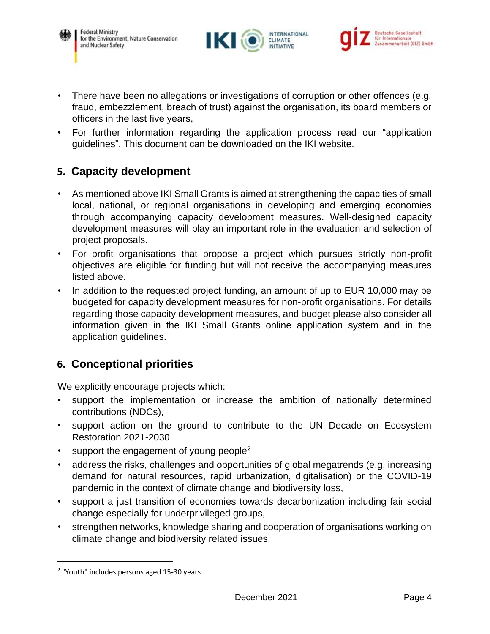





- There have been no allegations or investigations of corruption or other offences (e.g. fraud, embezzlement, breach of trust) against the organisation, its board members or officers in the last five years,
- For further information regarding the application process read our "application guidelines". This document can be downloaded on the IKI website.

#### **5. Capacity development**

- As mentioned above IKI Small Grants is aimed at strengthening the capacities of small local, national, or regional organisations in developing and emerging economies through accompanying capacity development measures. Well-designed capacity development measures will play an important role in the evaluation and selection of project proposals.
- For profit organisations that propose a project which pursues strictly non-profit objectives are eligible for funding but will not receive the accompanying measures listed above.
- In addition to the requested project funding, an amount of up to EUR 10,000 may be budgeted for capacity development measures for non-profit organisations. For details regarding those capacity development measures, and budget please also consider all information given in the IKI Small Grants online application system and in the application guidelines.

#### **6. Conceptional priorities**

We explicitly encourage projects which:

- support the implementation or increase the ambition of nationally determined contributions (NDCs),
- support action on the ground to contribute to the UN Decade on Ecosystem Restoration 2021-2030
- support the engagement of young people<sup>2</sup>
- address the risks, challenges and opportunities of global megatrends (e.g. increasing demand for natural resources, rapid urbanization, digitalisation) or the COVID-19 pandemic in the context of climate change and biodiversity loss,
- support a just transition of economies towards decarbonization including fair social change especially for underprivileged groups,
- strengthen networks, knowledge sharing and cooperation of organisations working on climate change and biodiversity related issues,

<sup>&</sup>lt;sup>2</sup> "Youth" includes persons aged 15-30 years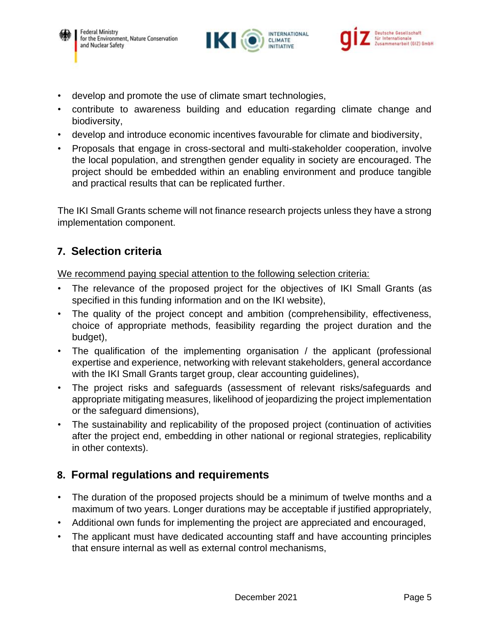

**Federal Ministry** for the Environment, Nature Conservation and Nuclear Safety





- develop and promote the use of climate smart technologies,
- contribute to awareness building and education regarding climate change and biodiversity,
- develop and introduce economic incentives favourable for climate and biodiversity,
- Proposals that engage in cross-sectoral and multi-stakeholder cooperation, involve the local population, and strengthen gender equality in society are encouraged. The project should be embedded within an enabling environment and produce tangible and practical results that can be replicated further.

The IKI Small Grants scheme will not finance research projects unless they have a strong implementation component.

#### **7. Selection criteria**

We recommend paying special attention to the following selection criteria:

- The relevance of the proposed project for the objectives of IKI Small Grants (as specified in this funding information and on the [IKI website\)](https://www.international-climate-initiative.com/en/issues),
- The quality of the project concept and ambition (comprehensibility, effectiveness, choice of appropriate methods, feasibility regarding the project duration and the budget),
- The qualification of the implementing organisation / the applicant (professional expertise and experience, networking with relevant stakeholders, general accordance with the IKI Small Grants target group, clear accounting guidelines),
- The project risks and safeguards (assessment of relevant risks/safeguards and appropriate mitigating measures, likelihood of jeopardizing the project implementation or the safeguard dimensions),
- The sustainability and replicability of the proposed project (continuation of activities after the project end, embedding in other national or regional strategies, replicability in other contexts).

#### **8. Formal regulations and requirements**

- The duration of the proposed projects should be a minimum of twelve months and a maximum of two years. Longer durations may be acceptable if justified appropriately,
- Additional own funds for implementing the project are appreciated and encouraged,
- The applicant must have dedicated accounting staff and have accounting principles that ensure internal as well as external control mechanisms,